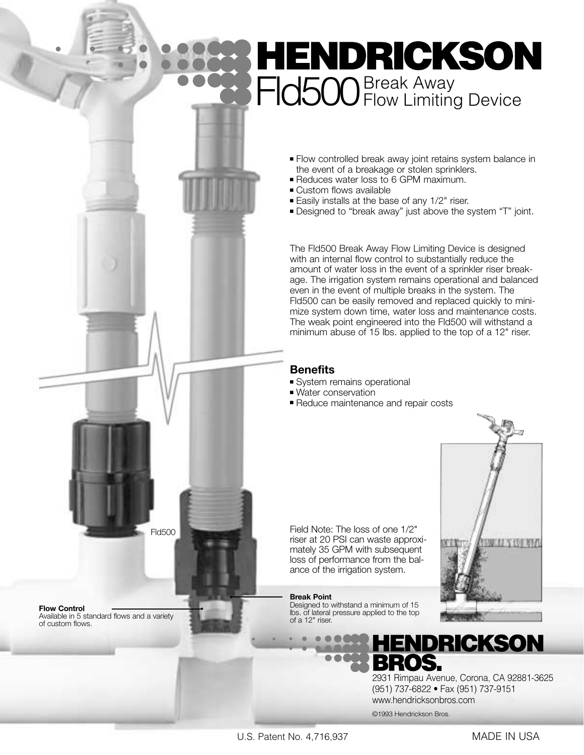## **HENDRICKSON** FId500<sup>Break Away</sup> Device

- Flow controlled break away joint retains system balance in the event of a breakage or stolen sprinklers.
- Reduces water loss to 6 GPM maximum.
- Custom flows available
- Easily installs at the base of any 1/2" riser.
- Designed to "break away" just above the system "T" joint.

The Fld500 Break Away Flow Limiting Device is designed with an internal flow control to substantially reduce the amount of water loss in the event of a sprinkler riser breakage. The irrigation system remains operational and balanced even in the event of multiple breaks in the system. The Fld500 can be easily removed and replaced quickly to minimize system down time, water loss and maintenance costs. The weak point engineered into the Fld500 will withstand a minimum abuse of 15 lbs. applied to the top of a 12" riser.

#### **Benefits**

- System remains operational
- Water conservation
- Reduce maintenance and repair costs

Field Note: The loss of one 1/2" riser at 20 PSI can waste approximately 35 GPM with subsequent loss of performance from the balance of the irrigation system.

#### **Break Point**

Designed to withstand a minimum of 15 lbs. of lateral pressure applied to the top of a 12" riser.

2931 Rimpau Avenue, Corona, CA 92881-3625 (951) 737-6822 • Fax (951) 737-9151 www.hendricksonbros.com

**ENDRICKSON** 

©1993 Hendrickson Bros.

OS.





**Flow Control** Available in 5 standard flows and a variety of custom flows.